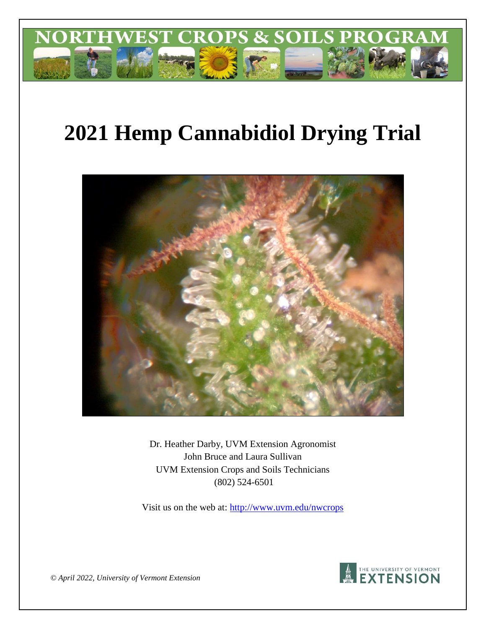

# **2021 Hemp Cannabidiol Drying Trial**



Dr. Heather Darby, UVM Extension Agronomist John Bruce and Laura Sullivan UVM Extension Crops and Soils Technicians (802) 524-6501

Visit us on the web at: http://www.uvm.edu/nwcrops



*© April 2022, University of Vermont Extension*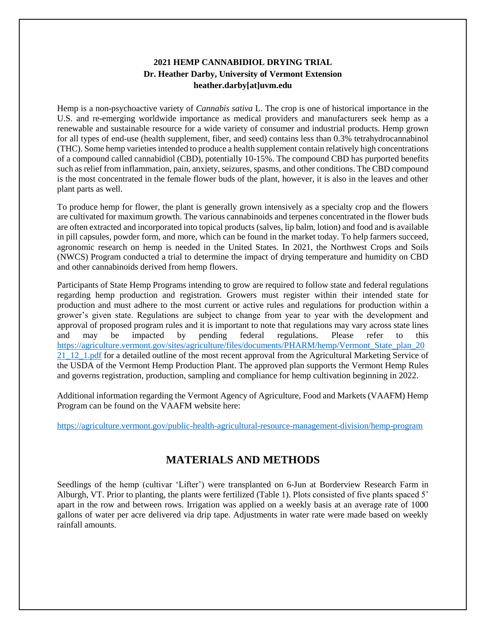## **2021 HEMP CANNABIDIOL DRYING TRIAL Dr. Heather Darby, University of Vermont Extension heather.darby[at]uvm.edu**

Hemp is a non-psychoactive variety of *Cannabis sativa* L. The crop is one of historical importance in the U.S. and re-emerging worldwide importance as medical providers and manufacturers seek hemp as a renewable and sustainable resource for a wide variety of consumer and industrial products. Hemp grown for all types of end-use (health supplement, fiber, and seed) contains less than 0.3% tetrahydrocannabinol (THC). Some hemp varieties intended to produce a health supplement contain relatively high concentrations of a compound called cannabidiol (CBD), potentially 10-15%. The compound CBD has purported benefits such as relief from inflammation, pain, anxiety, seizures, spasms, and other conditions. The CBD compound is the most concentrated in the female flower buds of the plant, however, it is also in the leaves and other plant parts as well.

To produce hemp for flower, the plant is generally grown intensively as a specialty crop and the flowers are cultivated for maximum growth. The various cannabinoids and terpenes concentrated in the flower buds are often extracted and incorporated into topical products (salves, lip balm, lotion) and food and is available in pill capsules, powder form, and more, which can be found in the market today. To help farmers succeed, agronomic research on hemp is needed in the United States. In 2021, the Northwest Crops and Soils (NWCS) Program conducted a trial to determine the impact of drying temperature and humidity on CBD and other cannabinoids derived from hemp flowers.

Participants of State Hemp Programs intending to grow are required to follow state and federal regulations regarding hemp production and registration. Growers must register within their intended state for production and must adhere to the most current or active rules and regulations for production within a grower's given state. Regulations are subject to change from year to year with the development and approval of proposed program rules and it is important to note that regulations may vary across state lines and may be impacted by pending federal regulations. Please refer to this [https://agriculture.vermont.gov/sites/agriculture/files/documents/PHARM/hemp/Vermont\\_State\\_plan\\_20](https://agriculture.vermont.gov/sites/agriculture/files/documents/PHARM/hemp/Vermont_State_plan_2021_12_1.pdf) 21<sup>1</sup>12<sup>1</sup>.pdf for a detailed outline of the most recent approval from the Agricultural Marketing Service of the USDA of the Vermont Hemp Production Plant. The approved plan supports the Vermont Hemp Rules and governs registration, production, sampling and compliance for hemp cultivation beginning in 2022.

Additional information regarding the Vermont Agency of Agriculture, Food and Markets (VAAFM) Hemp Program can be found on the VAAFM website here:

<https://agriculture.vermont.gov/public-health-agricultural-resource-management-division/hemp-program>

## **MATERIALS AND METHODS**

Seedlings of the hemp (cultivar 'Lifter') were transplanted on 6-Jun at Borderview Research Farm in Alburgh, VT. Prior to planting, the plants were fertilized (Table 1). Plots consisted of five plants spaced 5' apart in the row and between rows. Irrigation was applied on a weekly basis at an average rate of 1000 gallons of water per acre delivered via drip tape. Adjustments in water rate were made based on weekly rainfall amounts.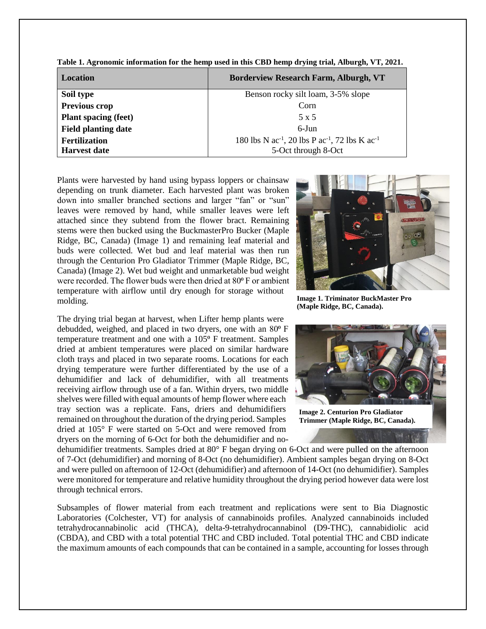| <b>Location</b>             | <b>Borderview Research Farm, Alburgh, VT</b>                  |
|-----------------------------|---------------------------------------------------------------|
| Soil type                   | Benson rocky silt loam, 3-5% slope                            |
| Previous crop               | Corn                                                          |
| <b>Plant spacing (feet)</b> | 5 x 5                                                         |
| <b>Field planting date</b>  | $6$ -Jun                                                      |
| <b>Fertilization</b>        | 180 lbs N $ac^{-1}$ , 20 lbs P $ac^{-1}$ , 72 lbs K $ac^{-1}$ |
| <b>Harvest date</b>         | 5-Oct through 8-Oct                                           |

**Table 1. Agronomic information for the hemp used in this CBD hemp drying trial, Alburgh, VT, 2021.** 

Plants were harvested by hand using bypass loppers or chainsaw depending on trunk diameter. Each harvested plant was broken down into smaller branched sections and larger "fan" or "sun" leaves were removed by hand, while smaller leaves were left attached since they subtend from the flower bract. Remaining stems were then bucked using the BuckmasterPro Bucker (Maple Ridge, BC, Canada) (Image 1) and remaining leaf material and buds were collected. Wet bud and leaf material was then run through the Centurion Pro Gladiator Trimmer (Maple Ridge, BC, Canada) (Image 2). Wet bud weight and unmarketable bud weight were recorded. The flower buds were then dried at 80<sup>°</sup> F or ambient temperature with airflow until dry enough for storage without molding.

The drying trial began at harvest, when Lifter hemp plants were debudded, weighed, and placed in two dryers, one with an 80<sup>°</sup> F temperature treatment and one with a 105<sup>°</sup> F treatment. Samples dried at ambient temperatures were placed on similar hardware cloth trays and placed in two separate rooms. Locations for each drying temperature were further differentiated by the use of a dehumidifier and lack of dehumidifier, with all treatments receiving airflow through use of a fan. Within dryers, two middle shelves were filled with equal amounts of hemp flower where each tray section was a replicate. Fans, driers and dehumidifiers remained on throughout the duration of the drying period. Samples dried at 105° F were started on 5-Oct and were removed from dryers on the morning of 6-Oct for both the dehumidifier and no-



**Image 1. Triminator BuckMaster Pro (Maple Ridge, BC, Canada).**



dehumidifier treatments. Samples dried at 80° F began drying on 6-Oct and were pulled on the afternoon of 7-Oct (dehumidifier) and morning of 8-Oct (no dehumidifier). Ambient samples began drying on 8-Oct and were pulled on afternoon of 12-Oct (dehumidifier) and afternoon of 14-Oct (no dehumidifier). Samples were monitored for temperature and relative humidity throughout the drying period however data were lost through technical errors.

Subsamples of flower material from each treatment and replications were sent to Bia Diagnostic Laboratories (Colchester, VT) for analysis of cannabinoids profiles. Analyzed cannabinoids included tetrahydrocannabinolic acid (THCA), delta-9*-*tetrahydrocannabinol (D9-THC), cannabidiolic acid (CBDA), and CBD with a total potential THC and CBD included. Total potential THC and CBD indicate the maximum amounts of each compounds that can be contained in a sample, accounting for losses through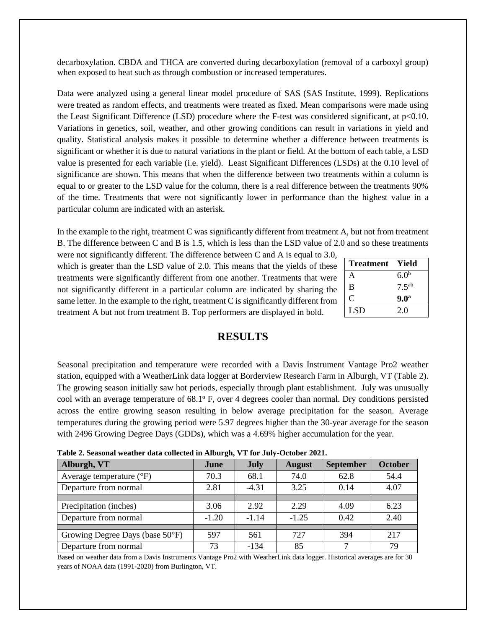decarboxylation. CBDA and THCA are converted during decarboxylation (removal of a carboxyl group) when exposed to heat such as through combustion or increased temperatures.

Data were analyzed using a general linear model procedure of SAS (SAS Institute, 1999). Replications were treated as random effects, and treatments were treated as fixed. Mean comparisons were made using the Least Significant Difference (LSD) procedure where the F-test was considered significant, at p<0.10. Variations in genetics, soil, weather, and other growing conditions can result in variations in yield and quality. Statistical analysis makes it possible to determine whether a difference between treatments is significant or whether it is due to natural variations in the plant or field. At the bottom of each table, a LSD value is presented for each variable (i.e. yield). Least Significant Differences (LSDs) at the 0.10 level of significance are shown. This means that when the difference between two treatments within a column is equal to or greater to the LSD value for the column, there is a real difference between the treatments 90% of the time. Treatments that were not significantly lower in performance than the highest value in a particular column are indicated with an asterisk.

In the example to the right, treatment C was significantly different from treatment A, but not from treatment B. The difference between C and B is 1.5, which is less than the LSD value of 2.0 and so these treatments

were not significantly different. The difference between C and A is equal to 3.0, which is greater than the LSD value of 2.0. This means that the yields of these treatments were significantly different from one another. Treatments that were not significantly different in a particular column are indicated by sharing the same letter. In the example to the right, treatment C is significantly different from treatment A but not from treatment B. Top performers are displayed in bold.

| <b>Treatment</b> | Yield             |
|------------------|-------------------|
| A                | 6.0 <sup>b</sup>  |
| B                | 7.5 <sup>ab</sup> |
| C                | 9.0 <sup>a</sup>  |
| LSD.             | 2.0               |

## **RESULTS**

Seasonal precipitation and temperature were recorded with a Davis Instrument Vantage Pro2 weather station, equipped with a WeatherLink data logger at Borderview Research Farm in Alburgh, VT (Table 2). The growing season initially saw hot periods, especially through plant establishment. July was unusually cool with an average temperature of 68.1<sup>o</sup> F, over 4 degrees cooler than normal. Dry conditions persisted across the entire growing season resulting in below average precipitation for the season. Average temperatures during the growing period were 5.97 degrees higher than the 30-year average for the season with 2496 Growing Degree Days (GDDs), which was a 4.69% higher accumulation for the year.

| Table 2. Seasonal weather data collected in Alburgh, VT for July-October 2021. |  |  |  |
|--------------------------------------------------------------------------------|--|--|--|
|--------------------------------------------------------------------------------|--|--|--|

| Alburgh, VT                       | June    | <b>July</b>     | <b>August</b> | <b>September</b> | <b>October</b> |
|-----------------------------------|---------|-----------------|---------------|------------------|----------------|
| Average temperature $(^{\circ}F)$ | 70.3    | 68.1            | 74.0          | 62.8             | 54.4           |
| Departure from normal             | 2.81    | 3.25<br>$-4.31$ |               | 0.14             | 4.07           |
|                                   |         |                 |               |                  |                |
| Precipitation (inches)            | 3.06    | 2.92            | 2.29          | 4.09             | 6.23           |
| Departure from normal             | $-1.20$ | $-1.14$         | $-1.25$       | 0.42             | 2.40           |
|                                   |         |                 |               |                  |                |
| Growing Degree Days (base 50°F)   | 597     | 561             | 727           | 394              | 217            |
| Departure from normal             | 73      | $-134$          | 85            | ⇁                | 79             |

Based on weather data from a Davis Instruments Vantage Pro2 with WeatherLink data logger. Historical averages are for 30 years of NOAA data (1991-2020) from Burlington, VT.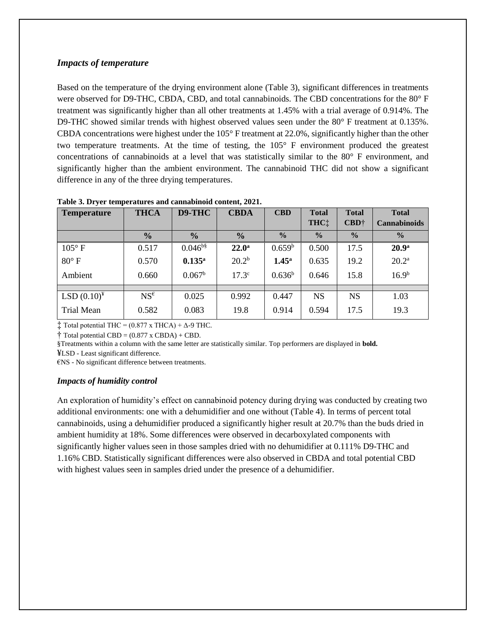#### *Impacts of temperature*

Based on the temperature of the drying environment alone (Table 3), significant differences in treatments were observed for D9-THC, CBDA, CBD, and total cannabinoids. The CBD concentrations for the 80° F treatment was significantly higher than all other treatments at 1.45% with a trial average of 0.914%. The D9-THC showed similar trends with highest observed values seen under the 80° F treatment at 0.135%. CBDA concentrations were highest under the 105° F treatment at 22.0%, significantly higher than the other two temperature treatments. At the time of testing, the 105° F environment produced the greatest concentrations of cannabinoids at a level that was statistically similar to the 80° F environment, and significantly higher than the ambient environment. The cannabinoid THC did not show a significant difference in any of the three drying temperatures.

| <b>Temperature</b> | <b>THCA</b>     | D9-THC                              | <b>CBDA</b>       | <b>CBD</b>        | <b>Total</b><br>THC: | <b>Total</b><br>$\text{CBD}^+$ | <b>Total</b><br><b>Cannabinoids</b> |
|--------------------|-----------------|-------------------------------------|-------------------|-------------------|----------------------|--------------------------------|-------------------------------------|
|                    | $\frac{0}{0}$   | $\frac{0}{0}$                       | $\frac{0}{0}$     | $\frac{0}{0}$     | $\frac{0}{0}$        | $\frac{0}{0}$                  | $\frac{0}{0}$                       |
| $105^{\circ}$ F    | 0.517           | $0.046^{\overline{b}\overline{\$}}$ | $22.0^{\rm a}$    | $0.659^{\rm b}$   | 0.500                | 17.5                           | 20.9 <sup>a</sup>                   |
| $80^\circ$ F       | 0.570           | $0.135^{a}$                         | 20.2 <sup>b</sup> | 1.45 <sup>a</sup> | 0.635                | 19.2                           | $20.2^{\rm a}$                      |
| Ambient            | 0.660           | 0.067 <sup>b</sup>                  | 17.3 <sup>c</sup> | $0.636^{b}$       | 0.646                | 15.8                           | 16.9 <sup>b</sup>                   |
|                    |                 |                                     |                   |                   |                      |                                |                                     |
| $LSD(0.10)^{4}$    | $NS^{\epsilon}$ | 0.025                               | 0.992             | 0.447             | <b>NS</b>            | <b>NS</b>                      | 1.03                                |
| Trial Mean         | 0.582           | 0.083                               | 19.8              | 0.914             | 0.594                | 17.5                           | 19.3                                |

**Table 3. Dryer temperatures and cannabinoid content, 2021.** 

 $\ddagger$  Total potential THC = (0.877 x THCA) +  $\Delta$ -9 THC.

 $\dagger$  Total potential CBD = (0.877 x CBDA) + CBD.

§Treatments within a column with the same letter are statistically similar. Top performers are displayed in **bold.**

¥LSD - Least significant difference.

€NS - No significant difference between treatments.

#### *Impacts of humidity control*

An exploration of humidity's effect on cannabinoid potency during drying was conducted by creating two additional environments: one with a dehumidifier and one without (Table 4). In terms of percent total cannabinoids, using a dehumidifier produced a significantly higher result at 20.7% than the buds dried in ambient humidity at 18%. Some differences were observed in decarboxylated components with significantly higher values seen in those samples dried with no dehumidifier at 0.111% D9-THC and 1.16% CBD. Statistically significant differences were also observed in CBDA and total potential CBD with highest values seen in samples dried under the presence of a dehumidifier.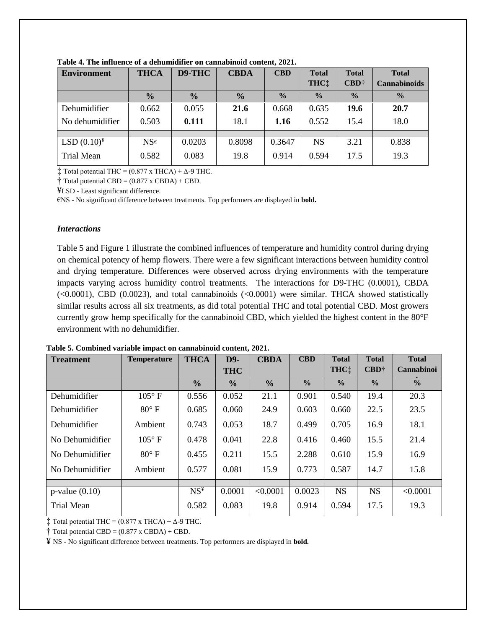| <b>Environment</b> | <b>THCA</b>     | D9-THC        | <b>CBDA</b>   | <b>CBD</b>    | <b>Total</b>  | <b>Total</b>  | <b>Total</b>        |
|--------------------|-----------------|---------------|---------------|---------------|---------------|---------------|---------------------|
|                    |                 |               |               |               | THC:          | $CBD+$        | <b>Cannabinoids</b> |
|                    | $\frac{0}{0}$   | $\frac{0}{0}$ | $\frac{0}{0}$ | $\frac{0}{0}$ | $\frac{0}{0}$ | $\frac{0}{0}$ | $\frac{0}{0}$       |
| Dehumidifier       | 0.662           | 0.055         | 21.6          | 0.668         | 0.635         | 19.6          | 20.7                |
| No dehumidifier    | 0.503           | 0.111         | 18.1          | 1.16          | 0.552         | 15.4          | 18.0                |
|                    |                 |               |               |               |               |               |                     |
| $LSD(0.10)^{4}$    | $NS^{\epsilon}$ | 0.0203        | 0.8098        | 0.3647        | <b>NS</b>     | 3.21          | 0.838               |
| <b>Trial Mean</b>  | 0.582           | 0.083         | 19.8          | 0.914         | 0.594         | 17.5          | 19.3                |

**Table 4. The influence of a dehumidifier on cannabinoid content, 2021.** 

 $\ddagger$  Total potential THC = (0.877 x THCA) +  $\Delta$ -9 THC.

 $\dagger$  Total potential CBD = (0.877 x CBDA) + CBD.

¥LSD - Least significant difference.

€NS - No significant difference between treatments. Top performers are displayed in **bold.**

#### *Interactions*

Table 5 and Figure 1 illustrate the combined influences of temperature and humidity control during drying on chemical potency of hemp flowers. There were a few significant interactions between humidity control and drying temperature. Differences were observed across drying environments with the temperature impacts varying across humidity control treatments. The interactions for D9-THC (0.0001), CBDA (<0.0001), CBD (0.0023), and total cannabinoids (<0.0001) were similar. THCA showed statistically similar results across all six treatments, as did total potential THC and total potential CBD. Most growers currently grow hemp specifically for the cannabinoid CBD, which yielded the highest content in the 80°F environment with no dehumidifier.

| <b>Treatment</b>    | <b>Temperature</b> | <b>THCA</b>   | $D9-$         | <b>CBDA</b>   | <b>CBD</b>    | <b>Total</b>  | <b>Total</b>  | <b>Total</b>      |
|---------------------|--------------------|---------------|---------------|---------------|---------------|---------------|---------------|-------------------|
|                     |                    |               | <b>THC</b>    |               |               | THC!          | $CBD^+$       | <b>Cannabinoi</b> |
|                     |                    | $\frac{0}{0}$ | $\frac{6}{6}$ | $\frac{0}{0}$ | $\frac{6}{6}$ | $\frac{6}{6}$ | $\frac{0}{0}$ | $\frac{0}{0}$     |
| Dehumidifier        | $105^{\circ}$ F    | 0.556         | 0.052         | 21.1          | 0.901         | 0.540         | 19.4          | 20.3              |
| Dehumidifier        | $80^\circ$ F       | 0.685         | 0.060         | 24.9          | 0.603         | 0.660         | 22.5          | 23.5              |
| Dehumidifier        | Ambient            | 0.743         | 0.053         | 18.7          | 0.499         | 0.705         | 16.9          | 18.1              |
| No Dehumidifier     | $105^{\circ}$ F    | 0.478         | 0.041         | 22.8          | 0.416         | 0.460         | 15.5          | 21.4              |
| No Dehumidifier     | $80^{\circ}$ F     | 0.455         | 0.211         | 15.5          | 2.288         | 0.610         | 15.9          | 16.9              |
| No Dehumidifier     | Ambient            | 0.577         | 0.081         | 15.9          | 0.773         | 0.587         | 14.7          | 15.8              |
|                     |                    |               |               |               |               |               |               |                   |
| $p$ -value $(0.10)$ |                    | $NS^4$        | 0.0001        | < 0.0001      | 0.0023        | <b>NS</b>     | <b>NS</b>     | < 0.0001          |
| Trial Mean          |                    | 0.582         | 0.083         | 19.8          | 0.914         | 0.594         | 17.5          | 19.3              |

**Table 5. Combined variable impact on cannabinoid content, 2021.** 

 $\ddagger$  Total potential THC = (0.877 x THCA) +  $\Delta$ -9 THC.

 $\dagger$  Total potential CBD = (0.877 x CBDA) + CBD.

¥ NS - No significant difference between treatments. Top performers are displayed in **bold.**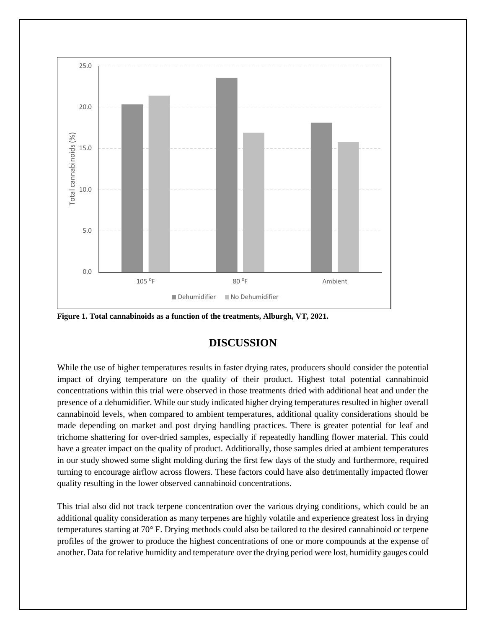

**Figure 1. Total cannabinoids as a function of the treatments, Alburgh, VT, 2021.**

## **DISCUSSION**

While the use of higher temperatures results in faster drying rates, producers should consider the potential impact of drying temperature on the quality of their product. Highest total potential cannabinoid concentrations within this trial were observed in those treatments dried with additional heat and under the presence of a dehumidifier. While our study indicated higher drying temperatures resulted in higher overall cannabinoid levels, when compared to ambient temperatures, additional quality considerations should be made depending on market and post drying handling practices. There is greater potential for leaf and trichome shattering for over-dried samples, especially if repeatedly handling flower material. This could have a greater impact on the quality of product. Additionally, those samples dried at ambient temperatures in our study showed some slight molding during the first few days of the study and furthermore, required turning to encourage airflow across flowers. These factors could have also detrimentally impacted flower quality resulting in the lower observed cannabinoid concentrations.

This trial also did not track terpene concentration over the various drying conditions, which could be an additional quality consideration as many terpenes are highly volatile and experience greatest loss in drying temperatures starting at 70° F. Drying methods could also be tailored to the desired cannabinoid or terpene profiles of the grower to produce the highest concentrations of one or more compounds at the expense of another. Data for relative humidity and temperature over the drying period were lost, humidity gauges could